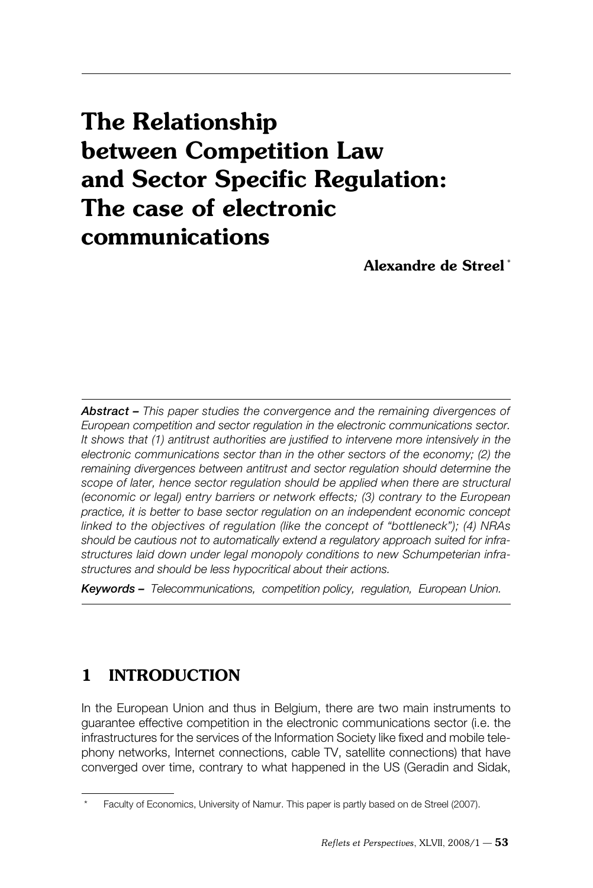# **The Relationship between Competition Law and Sector Specific Regulation: The case of electronic communications**

 **Alexandre de Streel \***

*Abstract – This paper studies the convergence and the remaining divergences of European competition and sector regulation in the electronic communications sector. It shows that (1) antitrust authorities are justified to intervene more intensively in the electronic communications sector than in the other sectors of the economy; (2) the remaining divergences between antitrust and sector regulation should determine the scope of later, hence sector regulation should be applied when there are structural (economic or legal) entry barriers or network effects; (3) contrary to the European practice, it is better to base sector regulation on an independent economic concept linked to the objectives of regulation (like the concept of "bottleneck"); (4) NRAs should be cautious not to automatically extend a regulatory approach suited for infrastructures laid down under legal monopoly conditions to new Schumpeterian infrastructures and should be less hypocritical about their actions.*

*Keywords – Telecommunications, competition policy, regulation, European Union.*

# **1 INTRODUCTION**

In the European Union and thus in Belgium, there are two main instruments to guarantee effective competition in the electronic communications sector (i.e. the infrastructures for the services of the Information Society like fixed and mobile telephony networks, Internet connections, cable TV, satellite connections) that have converged over time, contrary to what happened in the US (Geradin and Sidak,

Faculty of Economics, University of Namur. This paper is partly based on de Streel (2007).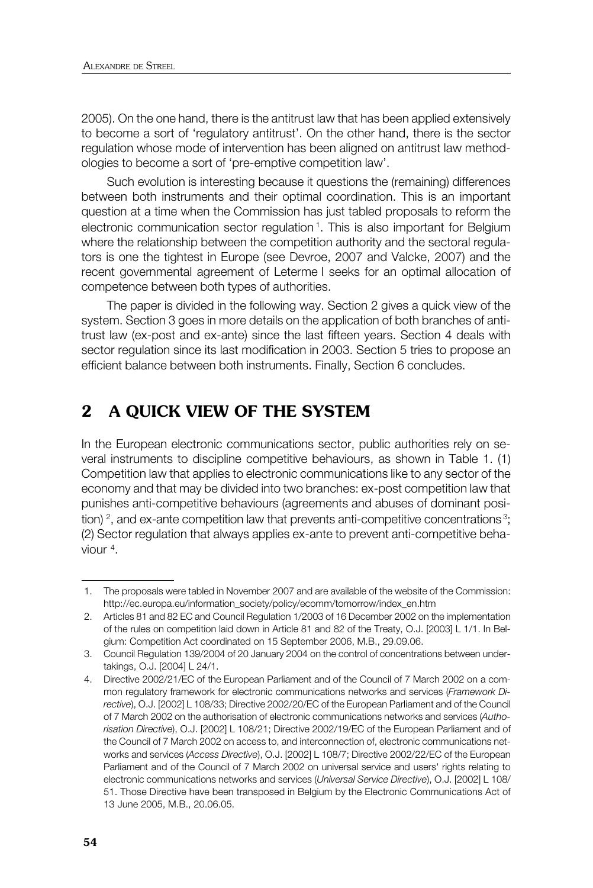2005). On the one hand, there is the antitrust law that has been applied extensively to become a sort of 'regulatory antitrust'. On the other hand, there is the sector regulation whose mode of intervention has been aligned on antitrust law methodologies to become a sort of 'pre-emptive competition law'.

 Such evolution is interesting because it questions the (remaining) differences between both instruments and their optimal coordination. This is an important question at a time when the Commission has just tabled proposals to reform the electronic communication sector regulation 1. This is also important for Belgium where the relationship between the competition authority and the sectoral regulators is one the tightest in Europe (see Devroe, 2007 and Valcke, 2007) and the recent governmental agreement of Leterme I seeks for an optimal allocation of competence between both types of authorities.

 The paper is divided in the following way. Section 2 gives a quick view of the system. Section 3 goes in more details on the application of both branches of antitrust law (ex-post and ex-ante) since the last fifteen years. Section 4 deals with sector regulation since its last modification in 2003. Section 5 tries to propose an efficient balance between both instruments. Finally, Section 6 concludes.

# **2 A QUICK VIEW OF THE SYSTEM**

In the European electronic communications sector, public authorities rely on several instruments to discipline competitive behaviours, as shown in Table 1. (1) Competition law that applies to electronic communications like to any sector of the economy and that may be divided into two branches: ex-post competition law that punishes anti-competitive behaviours (agreements and abuses of dominant position)  $^2$ , and ex-ante competition law that prevents anti-competitive concentrations  $^3$ ; (2) Sector regulation that always applies ex-ante to prevent anti-competitive behaviour 4.

 <sup>1.</sup> The proposals were tabled in November 2007 and are available of the website of the Commission: http://ec.europa.eu/information\_society/policy/ecomm/tomorrow/index\_en.htm

 <sup>2.</sup> Articles 81 and 82 EC and Council Regulation 1/2003 of 16 December 2002 on the implementation of the rules on competition laid down in Article 81 and 82 of the Treaty, O.J. [2003] L 1/1. In Belgium: Competition Act coordinated on 15 September 2006, M.B., 29.09.06.

 <sup>3.</sup> Council Regulation 139/2004 of 20 January 2004 on the control of concentrations between undertakings, O.J. [2004] L 24/1.

 <sup>4.</sup> Directive 2002/21/EC of the European Parliament and of the Council of 7 March 2002 on a common regulatory framework for electronic communications networks and services (*Framework Directive*), O.J. [2002] L 108/33; Directive 2002/20/EC of the European Parliament and of the Council of 7 March 2002 on the authorisation of electronic communications networks and services (*Authorisation Directive*), O.J. [2002] L 108/21; Directive 2002/19/EC of the European Parliament and of the Council of 7 March 2002 on access to, and interconnection of, electronic communications networks and services (*Access Directive*), O.J. [2002] L 108/7; Directive 2002/22/EC of the European Parliament and of the Council of 7 March 2002 on universal service and users' rights relating to electronic communications networks and services (*Universal Service Directive*), O.J. [2002] L 108/ 51. Those Directive have been transposed in Belgium by the Electronic Communications Act of 13 June 2005, M.B., 20.06.05.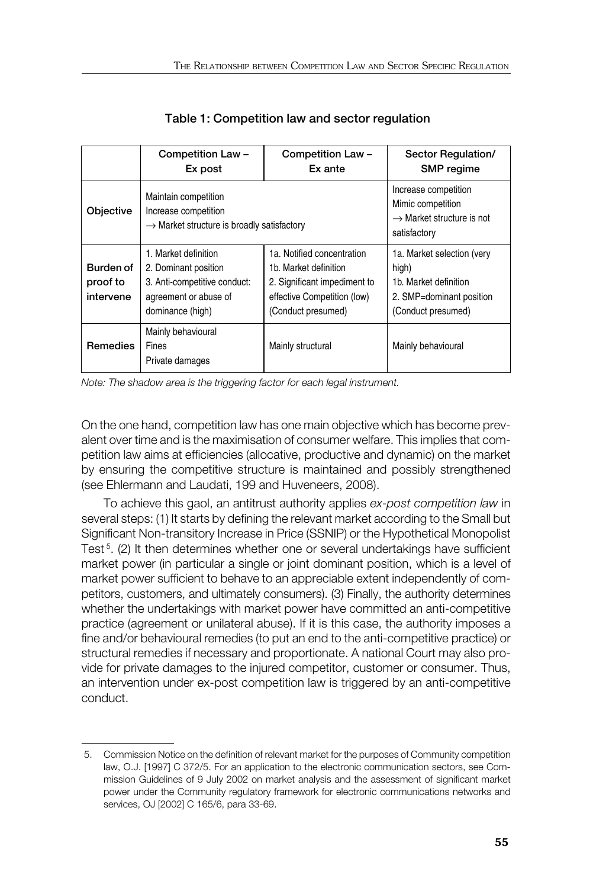|                                    | Competition Law -<br>Ex post                                                                                              | Competition Law -<br>Ex ante                                                                                                             | Sector Regulation/<br><b>SMP</b> regime                                                                        |
|------------------------------------|---------------------------------------------------------------------------------------------------------------------------|------------------------------------------------------------------------------------------------------------------------------------------|----------------------------------------------------------------------------------------------------------------|
| Objective                          | Maintain competition<br>Increase competition<br>$\rightarrow$ Market structure is broadly satisfactory                    |                                                                                                                                          | Increase competition<br>Mimic competition<br>$\rightarrow$ Market structure is not<br>satisfactory             |
| Burden of<br>proof to<br>intervene | 1. Market definition<br>2. Dominant position<br>3. Anti-competitive conduct:<br>agreement or abuse of<br>dominance (high) | 1a. Notified concentration<br>1b. Market definition<br>2. Significant impediment to<br>effective Competition (low)<br>(Conduct presumed) | 1a. Market selection (very<br>high)<br>1b. Market definition<br>2. SMP=dominant position<br>(Conduct presumed) |
| <b>Remedies</b>                    | Mainly behavioural<br>Fines<br>Private damages                                                                            | Mainly structural                                                                                                                        | Mainly behavioural                                                                                             |

 **Table 1: Competition law and sector regulation**

*Note: The shadow area is the triggering factor for each legal instrument.*

On the one hand, competition law has one main objective which has become prevalent over time and is the maximisation of consumer welfare. This implies that competition law aims at efficiencies (allocative, productive and dynamic) on the market by ensuring the competitive structure is maintained and possibly strengthened (see Ehlermann and Laudati, 199 and Huveneers, 2008).

To achieve this gaol, an antitrust authority applies *ex-post competition law* in several steps: (1) It starts by defining the relevant market according to the Small but Significant Non-transitory Increase in Price (SSNIP) or the Hypothetical Monopolist Test<sup>5</sup>. (2) It then determines whether one or several undertakings have sufficient market power (in particular a single or joint dominant position, which is a level of market power sufficient to behave to an appreciable extent independently of competitors, customers, and ultimately consumers). (3) Finally, the authority determines whether the undertakings with market power have committed an anti-competitive practice (agreement or unilateral abuse). If it is this case, the authority imposes a fine and/or behavioural remedies (to put an end to the anti-competitive practice) or structural remedies if necessary and proportionate. A national Court may also provide for private damages to the injured competitor, customer or consumer. Thus, an intervention under ex-post competition law is triggered by an anti-competitive conduct.

 <sup>5.</sup> Commission Notice on the definition of relevant market for the purposes of Community competition law, O.J. [1997] C 372/5. For an application to the electronic communication sectors, see Commission Guidelines of 9 July 2002 on market analysis and the assessment of significant market power under the Community regulatory framework for electronic communications networks and services, OJ [2002] C 165/6, para 33-69.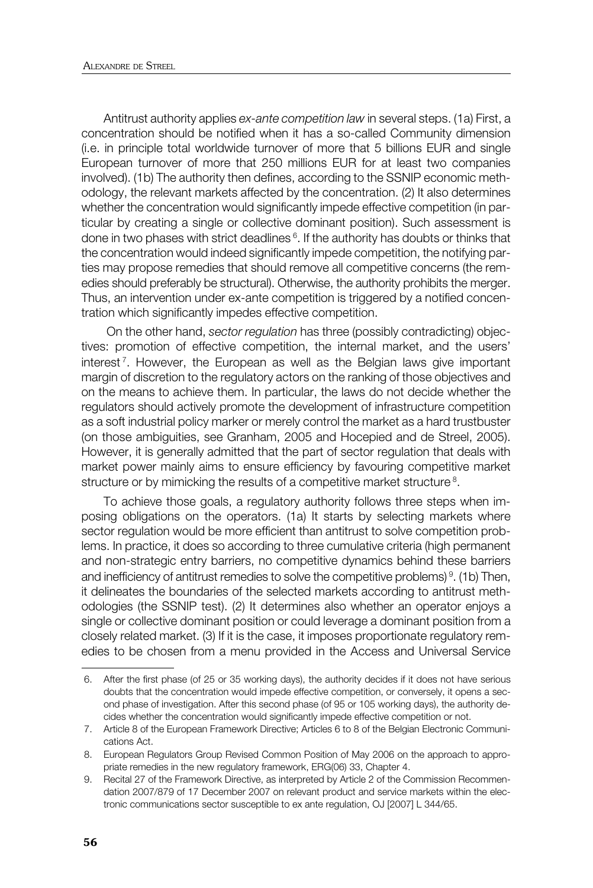Antitrust authority applies *ex-ante competition law* in several steps. (1a) First, a concentration should be notified when it has a so-called Community dimension (i.e. in principle total worldwide turnover of more that 5 billions EUR and single European turnover of more that 250 millions EUR for at least two companies involved). (1b) The authority then defines, according to the SSNIP economic methodology, the relevant markets affected by the concentration. (2) It also determines whether the concentration would significantly impede effective competition (in particular by creating a single or collective dominant position). Such assessment is done in two phases with strict deadlines <sup>6</sup>. If the authority has doubts or thinks that the concentration would indeed significantly impede competition, the notifying parties may propose remedies that should remove all competitive concerns (the remedies should preferably be structural). Otherwise, the authority prohibits the merger. Thus, an intervention under ex-ante competition is triggered by a notified concentration which significantly impedes effective competition.

 On the other hand, *sector regulation* has three (possibly contradicting) objectives: promotion of effective competition, the internal market, and the users' interest<sup>7</sup>. However, the European as well as the Belgian laws give important margin of discretion to the regulatory actors on the ranking of those objectives and on the means to achieve them. In particular, the laws do not decide whether the regulators should actively promote the development of infrastructure competition as a soft industrial policy marker or merely control the market as a hard trustbuster (on those ambiguities, see Granham, 2005 and Hocepied and de Streel, 2005). However, it is generally admitted that the part of sector regulation that deals with market power mainly aims to ensure efficiency by favouring competitive market structure or by mimicking the results of a competitive market structure<sup>8</sup>.

To achieve those goals, a regulatory authority follows three steps when imposing obligations on the operators. (1a) It starts by selecting markets where sector regulation would be more efficient than antitrust to solve competition problems. In practice, it does so according to three cumulative criteria (high permanent and non-strategic entry barriers, no competitive dynamics behind these barriers and inefficiency of antitrust remedies to solve the competitive problems)<sup>9</sup>. (1b) Then, it delineates the boundaries of the selected markets according to antitrust methodologies (the SSNIP test). (2) It determines also whether an operator enjoys a single or collective dominant position or could leverage a dominant position from a closely related market. (3) If it is the case, it imposes proportionate regulatory remedies to be chosen from a menu provided in the Access and Universal Service

 <sup>6.</sup> After the first phase (of 25 or 35 working days), the authority decides if it does not have serious doubts that the concentration would impede effective competition, or conversely, it opens a second phase of investigation. After this second phase (of 95 or 105 working days), the authority decides whether the concentration would significantly impede effective competition or not.

 <sup>7.</sup> Article 8 of the European Framework Directive; Articles 6 to 8 of the Belgian Electronic Communications Act.

 <sup>8.</sup> European Regulators Group Revised Common Position of May 2006 on the approach to appropriate remedies in the new regulatory framework, ERG(06) 33, Chapter 4.

 <sup>9.</sup> Recital 27 of the Framework Directive, as interpreted by Article 2 of the Commission Recommendation 2007/879 of 17 December 2007 on relevant product and service markets within the electronic communications sector susceptible to ex ante regulation, OJ [2007] L 344/65.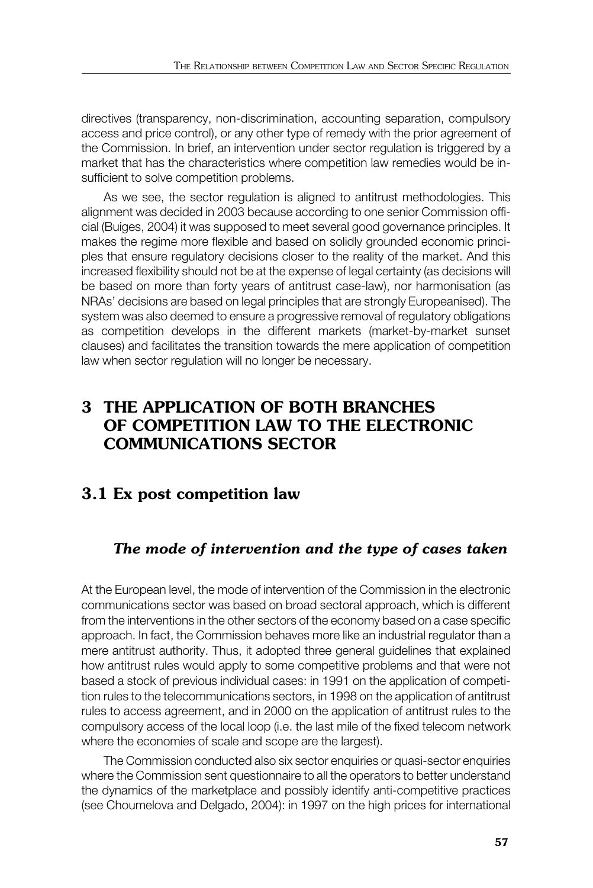directives (transparency, non-discrimination, accounting separation, compulsory access and price control), or any other type of remedy with the prior agreement of the Commission. In brief, an intervention under sector regulation is triggered by a market that has the characteristics where competition law remedies would be insufficient to solve competition problems.

As we see, the sector regulation is aligned to antitrust methodologies. This alignment was decided in 2003 because according to one senior Commission official (Buiges, 2004) it was supposed to meet several good governance principles. It makes the regime more flexible and based on solidly grounded economic principles that ensure regulatory decisions closer to the reality of the market. And this increased flexibility should not be at the expense of legal certainty (as decisions will be based on more than forty years of antitrust case-law), nor harmonisation (as NRAs' decisions are based on legal principles that are strongly Europeanised). The system was also deemed to ensure a progressive removal of regulatory obligations as competition develops in the different markets (market-by-market sunset clauses) and facilitates the transition towards the mere application of competition law when sector regulation will no longer be necessary.

# **3 THE APPLICATION OF BOTH BRANCHES OF COMPETITION LAW TO THE ELECTRONIC COMMUNICATIONS SECTOR**

# **3.1 Ex post competition law**

# *The mode of intervention and the type of cases taken*

At the European level, the mode of intervention of the Commission in the electronic communications sector was based on broad sectoral approach, which is different from the interventions in the other sectors of the economy based on a case specific approach. In fact, the Commission behaves more like an industrial regulator than a mere antitrust authority. Thus, it adopted three general guidelines that explained how antitrust rules would apply to some competitive problems and that were not based a stock of previous individual cases: in 1991 on the application of competition rules to the telecommunications sectors, in 1998 on the application of antitrust rules to access agreement, and in 2000 on the application of antitrust rules to the compulsory access of the local loop (i.e. the last mile of the fixed telecom network where the economies of scale and scope are the largest).

The Commission conducted also six sector enquiries or quasi-sector enquiries where the Commission sent questionnaire to all the operators to better understand the dynamics of the marketplace and possibly identify anti-competitive practices (see Choumelova and Delgado, 2004): in 1997 on the high prices for international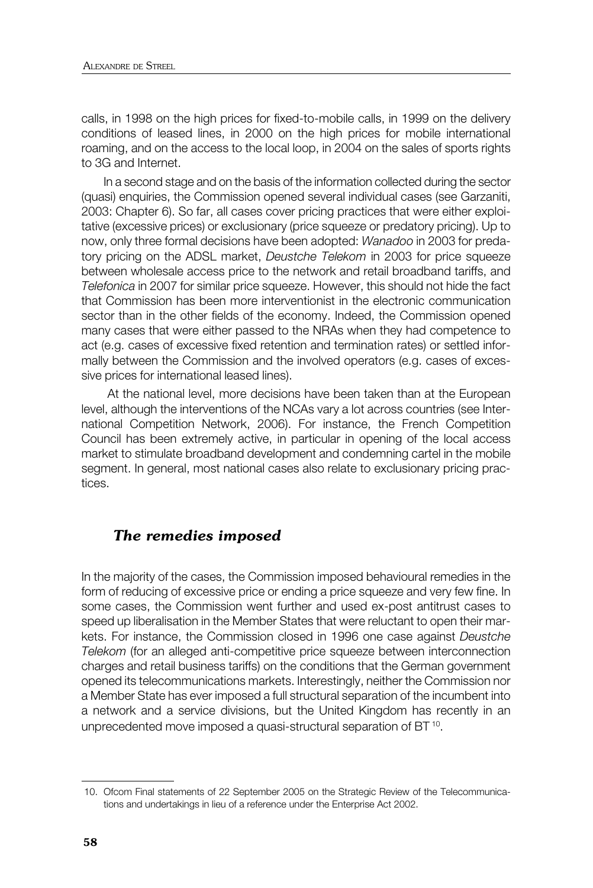calls, in 1998 on the high prices for fixed-to-mobile calls, in 1999 on the delivery conditions of leased lines, in 2000 on the high prices for mobile international roaming, and on the access to the local loop, in 2004 on the sales of sports rights to 3G and Internet.

In a second stage and on the basis of the information collected during the sector (quasi) enquiries, the Commission opened several individual cases (see Garzaniti, 2003: Chapter 6). So far, all cases cover pricing practices that were either exploitative (excessive prices) or exclusionary (price squeeze or predatory pricing). Up to now, only three formal decisions have been adopted: *Wanadoo* in 2003 for predatory pricing on the ADSL market, *Deustche Telekom* in 2003 for price squeeze between wholesale access price to the network and retail broadband tariffs, and *Telefonica* in 2007 for similar price squeeze. However, this should not hide the fact that Commission has been more interventionist in the electronic communication sector than in the other fields of the economy. Indeed, the Commission opened many cases that were either passed to the NRAs when they had competence to act (e.g. cases of excessive fixed retention and termination rates) or settled informally between the Commission and the involved operators (e.g. cases of excessive prices for international leased lines).

 At the national level, more decisions have been taken than at the European level, although the interventions of the NCAs vary a lot across countries (see International Competition Network, 2006). For instance, the French Competition Council has been extremely active, in particular in opening of the local access market to stimulate broadband development and condemning cartel in the mobile segment. In general, most national cases also relate to exclusionary pricing practices.

#### *The remedies imposed*

In the majority of the cases, the Commission imposed behavioural remedies in the form of reducing of excessive price or ending a price squeeze and very few fine. In some cases, the Commission went further and used ex-post antitrust cases to speed up liberalisation in the Member States that were reluctant to open their markets. For instance, the Commission closed in 1996 one case against *Deustche Telekom* (for an alleged anti-competitive price squeeze between interconnection charges and retail business tariffs) on the conditions that the German government opened its telecommunications markets. Interestingly, neither the Commission nor a Member State has ever imposed a full structural separation of the incumbent into a network and a service divisions, but the United Kingdom has recently in an unprecedented move imposed a quasi-structural separation of BT<sup>10</sup>.

 <sup>10.</sup> Ofcom Final statements of 22 September 2005 on the Strategic Review of the Telecommunications and undertakings in lieu of a reference under the Enterprise Act 2002.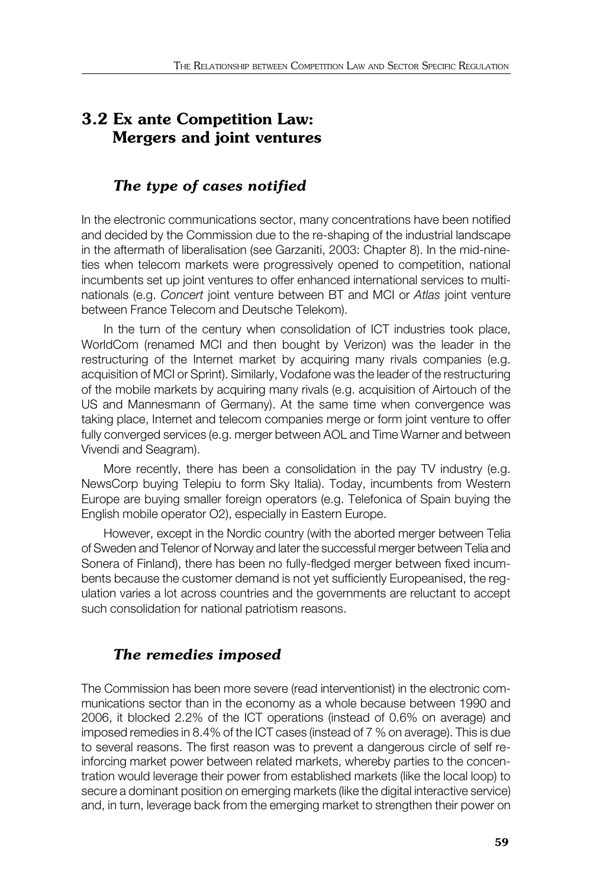# **3.2 Ex ante Competition Law: Mergers and joint ventures**

## *The type of cases notified*

In the electronic communications sector, many concentrations have been notified and decided by the Commission due to the re-shaping of the industrial landscape in the aftermath of liberalisation (see Garzaniti, 2003: Chapter 8). In the mid-nineties when telecom markets were progressively opened to competition, national incumbents set up joint ventures to offer enhanced international services to multinationals (e.g. *Concert* joint venture between BT and MCI or *Atlas* joint venture between France Telecom and Deutsche Telekom).

In the turn of the century when consolidation of ICT industries took place, WorldCom (renamed MCI and then bought by Verizon) was the leader in the restructuring of the Internet market by acquiring many rivals companies (e.g. acquisition of MCI or Sprint). Similarly, Vodafone was the leader of the restructuring of the mobile markets by acquiring many rivals (e.g. acquisition of Airtouch of the US and Mannesmann of Germany). At the same time when convergence was taking place, Internet and telecom companies merge or form joint venture to offer fully converged services (e.g. merger between AOL and Time Warner and between Vivendi and Seagram).

More recently, there has been a consolidation in the pay TV industry (e.g. NewsCorp buying Telepiu to form Sky Italia). Today, incumbents from Western Europe are buying smaller foreign operators (e.g. Telefonica of Spain buying the English mobile operator O2), especially in Eastern Europe.

However, except in the Nordic country (with the aborted merger between Telia of Sweden and Telenor of Norway and later the successful merger between Telia and Sonera of Finland), there has been no fully-fledged merger between fixed incumbents because the customer demand is not yet sufficiently Europeanised, the regulation varies a lot across countries and the governments are reluctant to accept such consolidation for national patriotism reasons.

### *The remedies imposed*

The Commission has been more severe (read interventionist) in the electronic communications sector than in the economy as a whole because between 1990 and 2006, it blocked 2.2% of the ICT operations (instead of 0.6% on average) and imposed remedies in 8.4% of the ICT cases (instead of 7 % on average). This is due to several reasons. The first reason was to prevent a dangerous circle of self reinforcing market power between related markets, whereby parties to the concentration would leverage their power from established markets (like the local loop) to secure a dominant position on emerging markets (like the digital interactive service) and, in turn, leverage back from the emerging market to strengthen their power on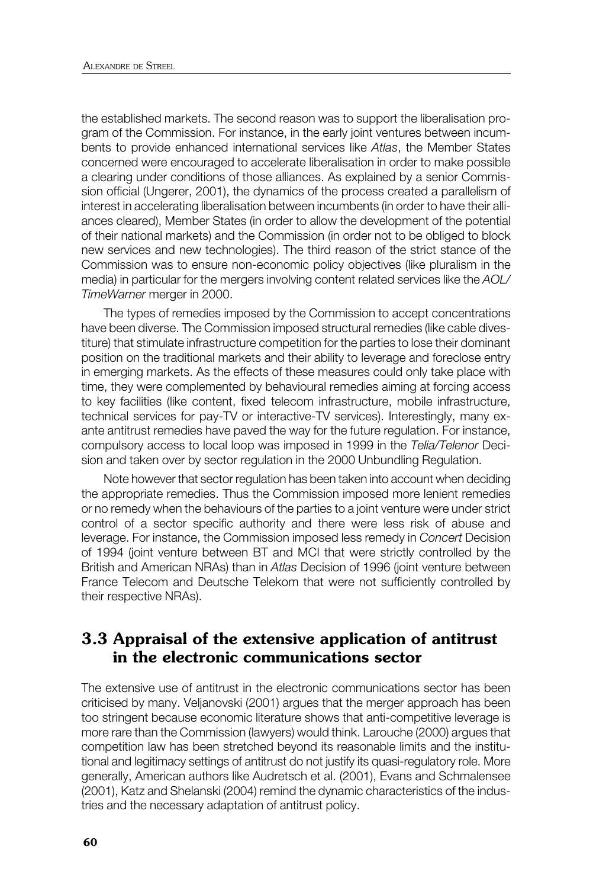the established markets. The second reason was to support the liberalisation program of the Commission. For instance, in the early joint ventures between incumbents to provide enhanced international services like *Atlas*, the Member States concerned were encouraged to accelerate liberalisation in order to make possible a clearing under conditions of those alliances. As explained by a senior Commission official (Ungerer, 2001), the dynamics of the process created a parallelism of interest in accelerating liberalisation between incumbents (in order to have their alliances cleared), Member States (in order to allow the development of the potential of their national markets) and the Commission (in order not to be obliged to block new services and new technologies). The third reason of the strict stance of the Commission was to ensure non-economic policy objectives (like pluralism in the media) in particular for the mergers involving content related services like the *AOL/ TimeWarner* merger in 2000.

The types of remedies imposed by the Commission to accept concentrations have been diverse. The Commission imposed structural remedies (like cable divestiture) that stimulate infrastructure competition for the parties to lose their dominant position on the traditional markets and their ability to leverage and foreclose entry in emerging markets. As the effects of these measures could only take place with time, they were complemented by behavioural remedies aiming at forcing access to key facilities (like content, fixed telecom infrastructure, mobile infrastructure, technical services for pay-TV or interactive-TV services). Interestingly, many exante antitrust remedies have paved the way for the future regulation. For instance, compulsory access to local loop was imposed in 1999 in the *Telia/Telenor* Decision and taken over by sector regulation in the 2000 Unbundling Regulation.

Note however that sector regulation has been taken into account when deciding the appropriate remedies. Thus the Commission imposed more lenient remedies or no remedy when the behaviours of the parties to a joint venture were under strict control of a sector specific authority and there were less risk of abuse and leverage. For instance, the Commission imposed less remedy in *Concert* Decision of 1994 (joint venture between BT and MCI that were strictly controlled by the British and American NRAs) than in *Atlas* Decision of 1996 (joint venture between France Telecom and Deutsche Telekom that were not sufficiently controlled by their respective NRAs).

# **3.3 Appraisal of the extensive application of antitrust in the electronic communications sector**

The extensive use of antitrust in the electronic communications sector has been criticised by many. Veljanovski (2001) argues that the merger approach has been too stringent because economic literature shows that anti-competitive leverage is more rare than the Commission (lawyers) would think. Larouche (2000) argues that competition law has been stretched beyond its reasonable limits and the institutional and legitimacy settings of antitrust do not justify its quasi-regulatory role. More generally, American authors like Audretsch et al. (2001), Evans and Schmalensee (2001), Katz and Shelanski (2004) remind the dynamic characteristics of the industries and the necessary adaptation of antitrust policy.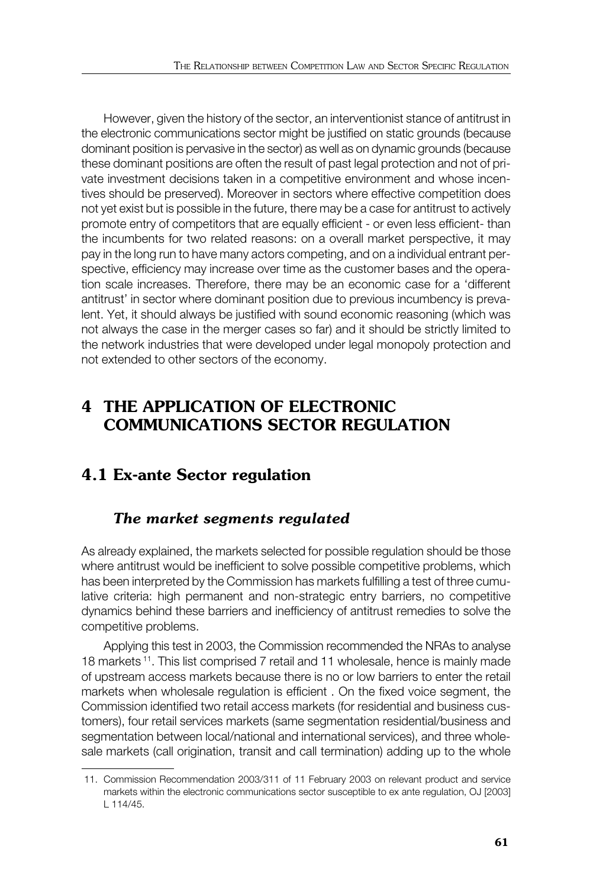However, given the history of the sector, an interventionist stance of antitrust in the electronic communications sector might be justified on static grounds (because dominant position is pervasive in the sector) as well as on dynamic grounds (because these dominant positions are often the result of past legal protection and not of private investment decisions taken in a competitive environment and whose incentives should be preserved). Moreover in sectors where effective competition does not yet exist but is possible in the future, there may be a case for antitrust to actively promote entry of competitors that are equally efficient - or even less efficient- than the incumbents for two related reasons: on a overall market perspective, it may pay in the long run to have many actors competing, and on a individual entrant perspective, efficiency may increase over time as the customer bases and the operation scale increases. Therefore, there may be an economic case for a 'different antitrust' in sector where dominant position due to previous incumbency is prevalent. Yet, it should always be justified with sound economic reasoning (which was not always the case in the merger cases so far) and it should be strictly limited to the network industries that were developed under legal monopoly protection and not extended to other sectors of the economy.

# **4 THE APPLICATION OF ELECTRONIC COMMUNICATIONS SECTOR REGULATION**

# **4.1 Ex-ante Sector regulation**

### *The market segments regulated*

As already explained, the markets selected for possible regulation should be those where antitrust would be inefficient to solve possible competitive problems, which has been interpreted by the Commission has markets fulfilling a test of three cumulative criteria: high permanent and non-strategic entry barriers, no competitive dynamics behind these barriers and inefficiency of antitrust remedies to solve the competitive problems.

Applying this test in 2003, the Commission recommended the NRAs to analyse 18 markets 11. This list comprised 7 retail and 11 wholesale, hence is mainly made of upstream access markets because there is no or low barriers to enter the retail markets when wholesale regulation is efficient . On the fixed voice segment, the Commission identified two retail access markets (for residential and business customers), four retail services markets (same segmentation residential/business and segmentation between local/national and international services), and three wholesale markets (call origination, transit and call termination) adding up to the whole

 <sup>11.</sup> Commission Recommendation 2003/311 of 11 February 2003 on relevant product and service markets within the electronic communications sector susceptible to ex ante regulation, OJ [2003] L 114/45.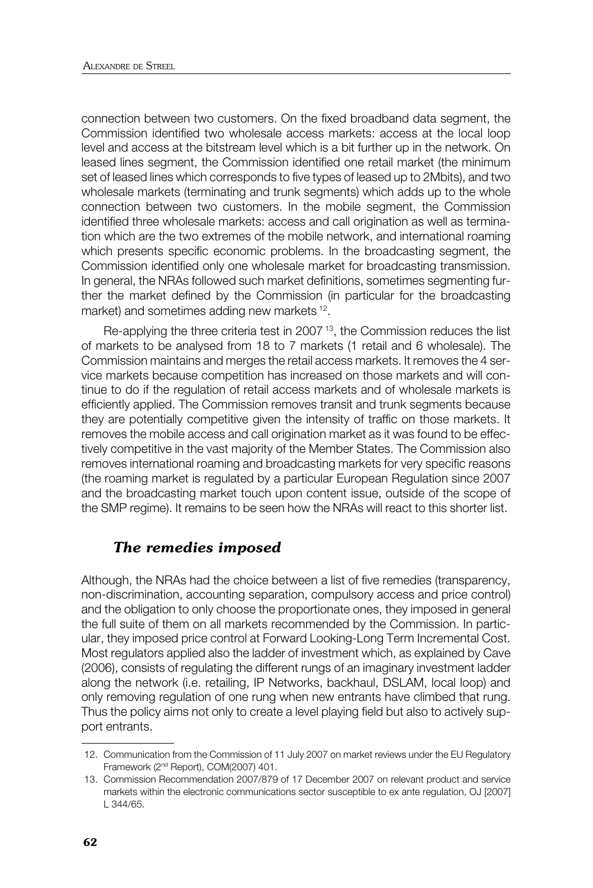connection between two customers. On the fixed broadband data segment, the Commission identified two wholesale access markets: access at the local loop level and access at the bitstream level which is a bit further up in the network. On leased lines segment, the Commission identified one retail market (the minimum set of leased lines which corresponds to five types of leased up to 2Mbits), and two wholesale markets (terminating and trunk segments) which adds up to the whole connection between two customers. In the mobile segment, the Commission identified three wholesale markets: access and call origination as well as termination which are the two extremes of the mobile network, and international roaming which presents specific economic problems. In the broadcasting segment, the Commission identified only one wholesale market for broadcasting transmission. In general, the NRAs followed such market definitions, sometimes segmenting further the market defined by the Commission (in particular for the broadcasting market) and sometimes adding new markets <sup>12</sup>.

Re-applying the three criteria test in 2007<sup>13</sup>, the Commission reduces the list of markets to be analysed from 18 to 7 markets (1 retail and 6 wholesale). The Commission maintains and merges the retail access markets. It removes the 4 service markets because competition has increased on those markets and will continue to do if the regulation of retail access markets and of wholesale markets is efficiently applied. The Commission removes transit and trunk segments because they are potentially competitive given the intensity of traffic on those markets. It removes the mobile access and call origination market as it was found to be effectively competitive in the vast majority of the Member States. The Commission also removes international roaming and broadcasting markets for very specific reasons (the roaming market is regulated by a particular European Regulation since 2007 and the broadcasting market touch upon content issue, outside of the scope of the SMP regime). It remains to be seen how the NRAs will react to this shorter list.

#### *The remedies imposed*

Although, the NRAs had the choice between a list of five remedies (transparency, non-discrimination, accounting separation, compulsory access and price control) and the obligation to only choose the proportionate ones, they imposed in general the full suite of them on all markets recommended by the Commission. In particular, they imposed price control at Forward Looking-Long Term Incremental Cost. Most regulators applied also the ladder of investment which, as explained by Cave (2006), consists of regulating the different rungs of an imaginary investment ladder along the network (i.e. retailing, IP Networks, backhaul, DSLAM, local loop) and only removing regulation of one rung when new entrants have climbed that rung. Thus the policy aims not only to create a level playing field but also to actively support entrants.

 <sup>12.</sup> Communication from the Commission of 11 July 2007 on market reviews under the EU Regulatory Framework (2nd Report), COM(2007) 401.

 <sup>13.</sup> Commission Recommendation 2007/879 of 17 December 2007 on relevant product and service markets within the electronic communications sector susceptible to ex ante regulation, OJ [2007] L 344/65.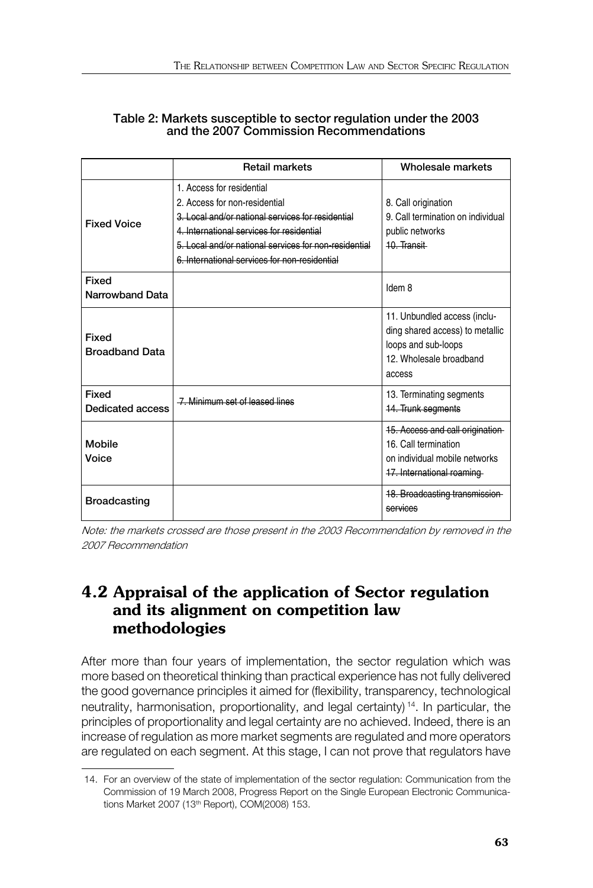#### **Table 2: Markets susceptible to sector regulation under the 2003 and the 2007 Commission Recommendations**

|                                  | <b>Retail markets</b>                                                                                                                                                                                                                                                  | Wholesale markets                                                                                                           |
|----------------------------------|------------------------------------------------------------------------------------------------------------------------------------------------------------------------------------------------------------------------------------------------------------------------|-----------------------------------------------------------------------------------------------------------------------------|
| <b>Fixed Voice</b>               | 1. Access for residential<br>2. Access for non-residential<br>3. Local and/or national services for residential<br>4. International services for residential<br>5. Local and/or national services for non-residential<br>6. International services for non-residential | 8. Call origination<br>9. Call termination on individual<br>public networks<br>10. Transit                                  |
| Fixed<br>Narrowband Data         |                                                                                                                                                                                                                                                                        | Idem 8                                                                                                                      |
| Fixed<br><b>Broadband Data</b>   |                                                                                                                                                                                                                                                                        | 11. Unbundled access (inclu-<br>ding shared access) to metallic<br>loops and sub-loops<br>12. Wholesale broadband<br>access |
| Fixed<br><b>Dedicated access</b> | -7. Minimum set of leased lines                                                                                                                                                                                                                                        | 13. Terminating segments<br>14. Trunk segments                                                                              |
| Mobile<br>Voice                  |                                                                                                                                                                                                                                                                        | 15. Access and call origination<br>16. Call termination<br>on individual mobile networks<br>17. International roaming       |
| <b>Broadcasting</b>              |                                                                                                                                                                                                                                                                        | 18. Broadcasting transmissi<br>services                                                                                     |

Note: the markets crossed are those present in the 2003 Recommendation by removed in the 2007 Recommendation

# **4.2 Appraisal of the application of Sector regulation and its alignment on competition law methodologies**

After more than four years of implementation, the sector regulation which was more based on theoretical thinking than practical experience has not fully delivered the good governance principles it aimed for (flexibility, transparency, technological neutrality, harmonisation, proportionality, and legal certainty) 14. In particular, the principles of proportionality and legal certainty are no achieved. Indeed, there is an increase of regulation as more market segments are regulated and more operators are regulated on each segment. At this stage, I can not prove that regulators have

 <sup>14.</sup> For an overview of the state of implementation of the sector regulation: Communication from the Commission of 19 March 2008, Progress Report on the Single European Electronic Communications Market 2007 (13th Report), COM(2008) 153.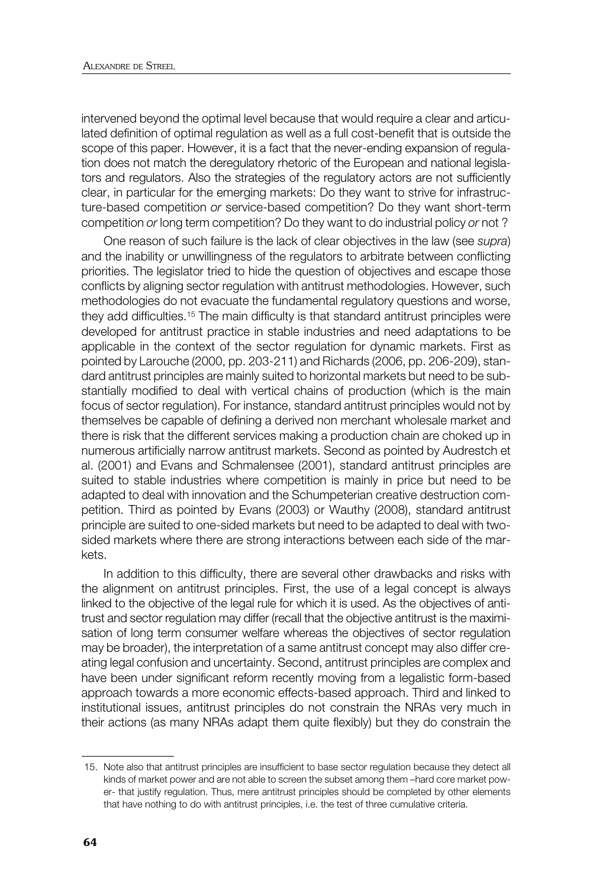intervened beyond the optimal level because that would require a clear and articulated definition of optimal regulation as well as a full cost-benefit that is outside the scope of this paper. However, it is a fact that the never-ending expansion of regulation does not match the deregulatory rhetoric of the European and national legislators and regulators. Also the strategies of the regulatory actors are not sufficiently clear, in particular for the emerging markets: Do they want to strive for infrastructure-based competition *or* service-based competition? Do they want short-term competition *or* long term competition? Do they want to do industrial policy *or* not ?

One reason of such failure is the lack of clear objectives in the law (see *supra*) and the inability or unwillingness of the regulators to arbitrate between conflicting priorities. The legislator tried to hide the question of objectives and escape those conflicts by aligning sector regulation with antitrust methodologies. However, such methodologies do not evacuate the fundamental regulatory questions and worse, they add difficulties.<sup>15</sup> The main difficulty is that standard antitrust principles were developed for antitrust practice in stable industries and need adaptations to be applicable in the context of the sector regulation for dynamic markets. First as pointed by Larouche (2000, pp. 203-211) and Richards (2006, pp. 206-209), standard antitrust principles are mainly suited to horizontal markets but need to be substantially modified to deal with vertical chains of production (which is the main focus of sector regulation). For instance, standard antitrust principles would not by themselves be capable of defining a derived non merchant wholesale market and there is risk that the different services making a production chain are choked up in numerous artificially narrow antitrust markets. Second as pointed by Audrestch et al. (2001) and Evans and Schmalensee (2001), standard antitrust principles are suited to stable industries where competition is mainly in price but need to be adapted to deal with innovation and the Schumpeterian creative destruction competition. Third as pointed by Evans (2003) or Wauthy (2008), standard antitrust principle are suited to one-sided markets but need to be adapted to deal with twosided markets where there are strong interactions between each side of the markets.

In addition to this difficulty, there are several other drawbacks and risks with the alignment on antitrust principles. First, the use of a legal concept is always linked to the objective of the legal rule for which it is used. As the objectives of antitrust and sector regulation may differ (recall that the objective antitrust is the maximisation of long term consumer welfare whereas the objectives of sector regulation may be broader), the interpretation of a same antitrust concept may also differ creating legal confusion and uncertainty. Second, antitrust principles are complex and have been under significant reform recently moving from a legalistic form-based approach towards a more economic effects-based approach. Third and linked to institutional issues, antitrust principles do not constrain the NRAs very much in their actions (as many NRAs adapt them quite flexibly) but they do constrain the

 <sup>15.</sup> Note also that antitrust principles are insufficient to base sector regulation because they detect all kinds of market power and are not able to screen the subset among them –hard core market power- that justify regulation. Thus, mere antitrust principles should be completed by other elements that have nothing to do with antitrust principles, i.e. the test of three cumulative criteria.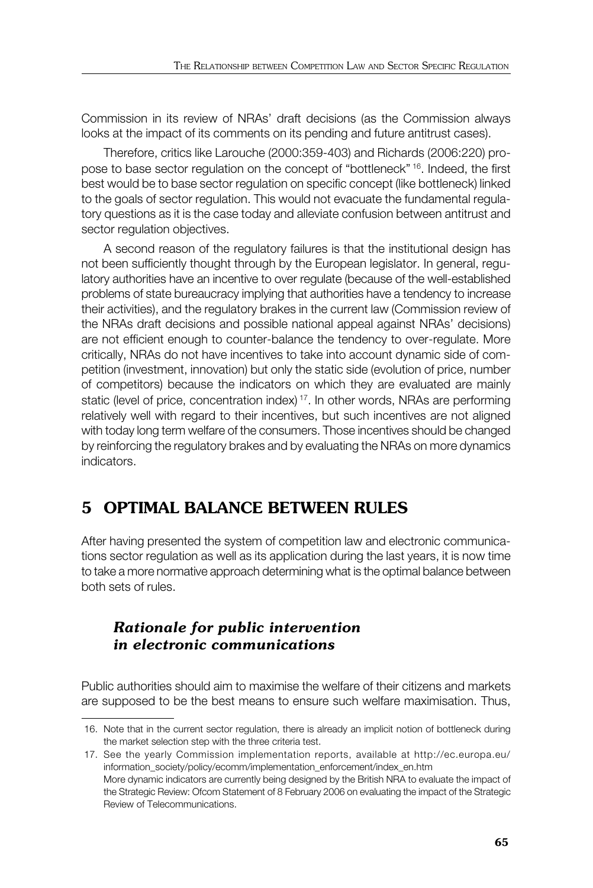Commission in its review of NRAs' draft decisions (as the Commission always looks at the impact of its comments on its pending and future antitrust cases).

Therefore, critics like Larouche (2000:359-403) and Richards (2006:220) propose to base sector regulation on the concept of "bottleneck" 16. Indeed, the first best would be to base sector regulation on specific concept (like bottleneck) linked to the goals of sector regulation. This would not evacuate the fundamental regulatory questions as it is the case today and alleviate confusion between antitrust and sector regulation objectives.

A second reason of the regulatory failures is that the institutional design has not been sufficiently thought through by the European legislator. In general, regulatory authorities have an incentive to over regulate (because of the well-established problems of state bureaucracy implying that authorities have a tendency to increase their activities), and the regulatory brakes in the current law (Commission review of the NRAs draft decisions and possible national appeal against NRAs' decisions) are not efficient enough to counter-balance the tendency to over-regulate. More critically, NRAs do not have incentives to take into account dynamic side of competition (investment, innovation) but only the static side (evolution of price, number of competitors) because the indicators on which they are evaluated are mainly static (level of price, concentration index)<sup>17</sup>. In other words, NRAs are performing relatively well with regard to their incentives, but such incentives are not aligned with today long term welfare of the consumers. Those incentives should be changed by reinforcing the regulatory brakes and by evaluating the NRAs on more dynamics indicators.

# **5 OPTIMAL BALANCE BETWEEN RULES**

After having presented the system of competition law and electronic communications sector regulation as well as its application during the last years, it is now time to take a more normative approach determining what is the optimal balance between both sets of rules.

# *Rationale for public intervention in electronic communications*

Public authorities should aim to maximise the welfare of their citizens and markets are supposed to be the best means to ensure such welfare maximisation. Thus,

 <sup>16.</sup> Note that in the current sector regulation, there is already an implicit notion of bottleneck during the market selection step with the three criteria test.

 <sup>17.</sup> See the yearly Commission implementation reports, available at http://ec.europa.eu/ information\_society/policy/ecomm/implementation\_enforcement/index\_en.htm More dynamic indicators are currently being designed by the British NRA to evaluate the impact of the Strategic Review: Ofcom Statement of 8 February 2006 on evaluating the impact of the Strategic Review of Telecommunications.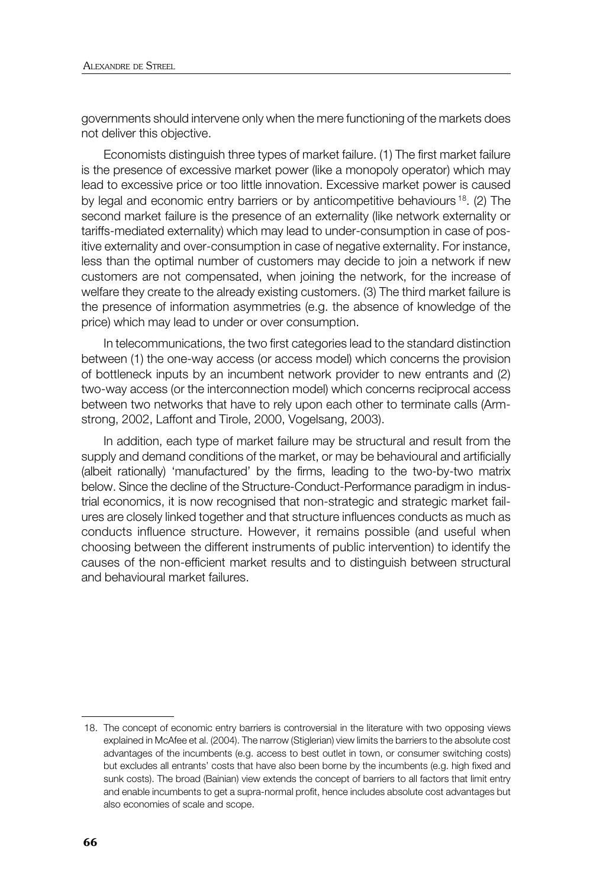governments should intervene only when the mere functioning of the markets does not deliver this objective.

Economists distinguish three types of market failure. (1) The first market failure is the presence of excessive market power (like a monopoly operator) which may lead to excessive price or too little innovation. Excessive market power is caused by legal and economic entry barriers or by anticompetitive behaviours <sup>18</sup>. (2) The second market failure is the presence of an externality (like network externality or tariffs-mediated externality) which may lead to under-consumption in case of positive externality and over-consumption in case of negative externality. For instance, less than the optimal number of customers may decide to join a network if new customers are not compensated, when joining the network, for the increase of welfare they create to the already existing customers. (3) The third market failure is the presence of information asymmetries (e.g. the absence of knowledge of the price) which may lead to under or over consumption.

In telecommunications, the two first categories lead to the standard distinction between (1) the one-way access (or access model) which concerns the provision of bottleneck inputs by an incumbent network provider to new entrants and (2) two-way access (or the interconnection model) which concerns reciprocal access between two networks that have to rely upon each other to terminate calls (Armstrong, 2002, Laffont and Tirole, 2000, Vogelsang, 2003).

In addition, each type of market failure may be structural and result from the supply and demand conditions of the market, or may be behavioural and artificially (albeit rationally) 'manufactured' by the firms, leading to the two-by-two matrix below. Since the decline of the Structure-Conduct-Performance paradigm in industrial economics, it is now recognised that non-strategic and strategic market failures are closely linked together and that structure influences conducts as much as conducts influence structure. However, it remains possible (and useful when choosing between the different instruments of public intervention) to identify the causes of the non-efficient market results and to distinguish between structural and behavioural market failures.

 <sup>18.</sup> The concept of economic entry barriers is controversial in the literature with two opposing views explained in McAfee et al. (2004). The narrow (Stiglerian) view limits the barriers to the absolute cost advantages of the incumbents (e.g. access to best outlet in town, or consumer switching costs) but excludes all entrants' costs that have also been borne by the incumbents (e.g. high fixed and sunk costs). The broad (Bainian) view extends the concept of barriers to all factors that limit entry and enable incumbents to get a supra-normal profit, hence includes absolute cost advantages but also economies of scale and scope.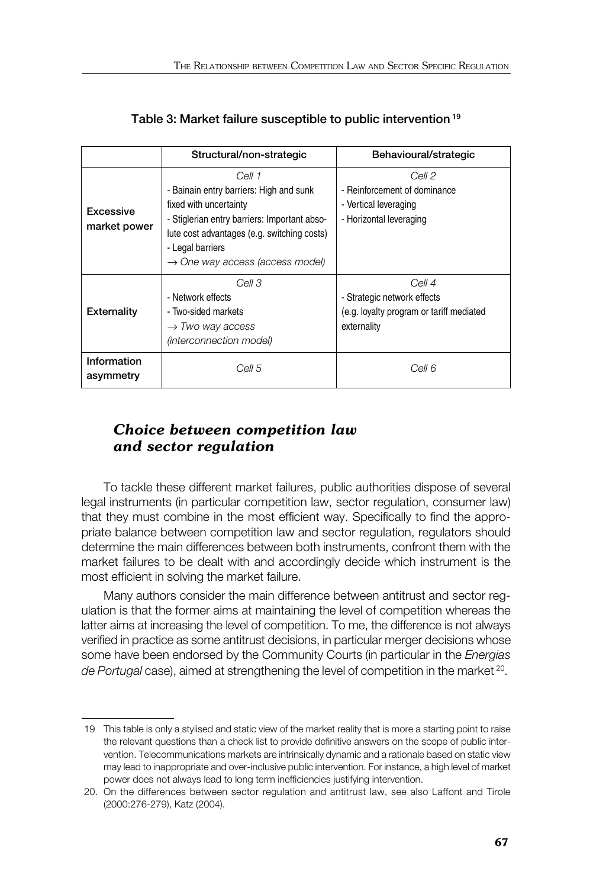|                           | Structural/non-strategic                                                                                                                                                                                                                      | Behavioural/strategic                                                                            |
|---------------------------|-----------------------------------------------------------------------------------------------------------------------------------------------------------------------------------------------------------------------------------------------|--------------------------------------------------------------------------------------------------|
| Excessive<br>market power | Cell 1<br>- Bainain entry barriers: High and sunk<br>fixed with uncertainty<br>- Stiglerian entry barriers: Important abso-<br>lute cost advantages (e.g. switching costs)<br>- Legal barriers<br>$\rightarrow$ One way access (access model) | Cell 2<br>- Reinforcement of dominance<br>- Vertical leveraging<br>- Horizontal leveraging       |
| <b>Externality</b>        | Cell 3<br>- Network effects<br>- Two-sided markets<br>$\rightarrow$ Two way access<br>(interconnection model)                                                                                                                                 | Cell 4<br>- Strategic network effects<br>(e.g. loyalty program or tariff mediated<br>externality |
| Information<br>asymmetry  | Cell 5                                                                                                                                                                                                                                        | Cell 6                                                                                           |

| Table 3: Market failure susceptible to public intervention <sup>19</sup> |  |
|--------------------------------------------------------------------------|--|
|                                                                          |  |

## *Choice between competition law and sector regulation*

To tackle these different market failures, public authorities dispose of several legal instruments (in particular competition law, sector regulation, consumer law) that they must combine in the most efficient way. Specifically to find the appropriate balance between competition law and sector regulation, regulators should determine the main differences between both instruments, confront them with the market failures to be dealt with and accordingly decide which instrument is the most efficient in solving the market failure.

Many authors consider the main difference between antitrust and sector regulation is that the former aims at maintaining the level of competition whereas the latter aims at increasing the level of competition. To me, the difference is not always verified in practice as some antitrust decisions, in particular merger decisions whose some have been endorsed by the Community Courts (in particular in the *Energias de Portugal* case), aimed at strengthening the level of competition in the market 20.

 <sup>19</sup> This table is only a stylised and static view of the market reality that is more a starting point to raise the relevant questions than a check list to provide definitive answers on the scope of public intervention. Telecommunications markets are intrinsically dynamic and a rationale based on static view may lead to inappropriate and over-inclusive public intervention. For instance, a high level of market power does not always lead to long term inefficiencies justifying intervention.

 <sup>20.</sup> On the differences between sector regulation and antitrust law, see also Laffont and Tirole (2000:276-279), Katz (2004).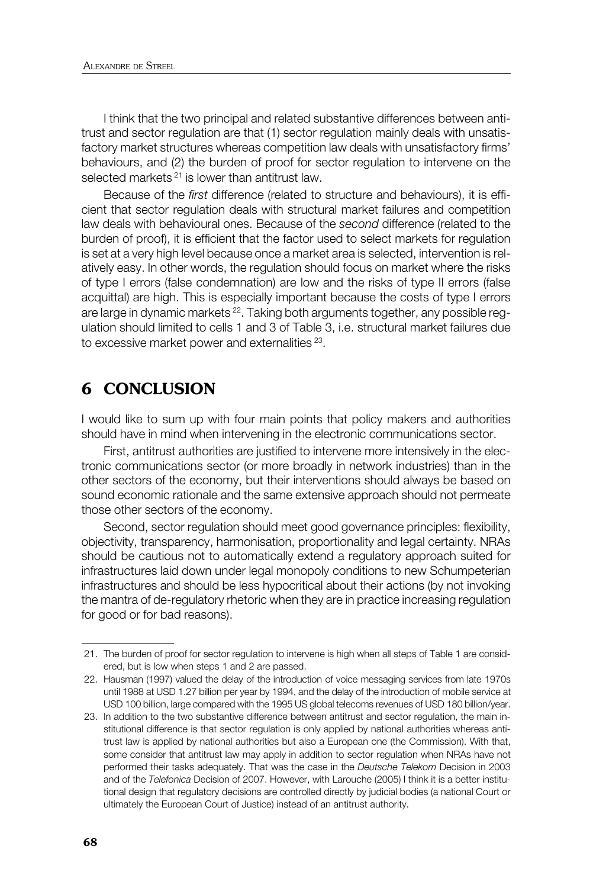I think that the two principal and related substantive differences between antitrust and sector regulation are that (1) sector regulation mainly deals with unsatisfactory market structures whereas competition law deals with unsatisfactory firms' behaviours, and (2) the burden of proof for sector regulation to intervene on the selected markets  $21$  is lower than antitrust law.

Because of the *first* difference (related to structure and behaviours), it is efficient that sector regulation deals with structural market failures and competition law deals with behavioural ones. Because of the *second* difference (related to the burden of proof), it is efficient that the factor used to select markets for regulation is set at a very high level because once a market area is selected, intervention is relatively easy. In other words, the regulation should focus on market where the risks of type I errors (false condemnation) are low and the risks of type II errors (false acquittal) are high. This is especially important because the costs of type I errors are large in dynamic markets <sup>22</sup>. Taking both arguments together, any possible regulation should limited to cells 1 and 3 of Table 3, i.e. structural market failures due to excessive market power and externalities<sup>23</sup>.

# **6 CONCLUSION**

I would like to sum up with four main points that policy makers and authorities should have in mind when intervening in the electronic communications sector.

First, antitrust authorities are justified to intervene more intensively in the electronic communications sector (or more broadly in network industries) than in the other sectors of the economy, but their interventions should always be based on sound economic rationale and the same extensive approach should not permeate those other sectors of the economy.

Second, sector regulation should meet good governance principles: flexibility, objectivity, transparency, harmonisation, proportionality and legal certainty. NRAs should be cautious not to automatically extend a regulatory approach suited for infrastructures laid down under legal monopoly conditions to new Schumpeterian infrastructures and should be less hypocritical about their actions (by not invoking the mantra of de-regulatory rhetoric when they are in practice increasing regulation for good or for bad reasons).

 <sup>21.</sup> The burden of proof for sector regulation to intervene is high when all steps of Table 1 are considered, but is low when steps 1 and 2 are passed.

 <sup>22.</sup> Hausman (1997) valued the delay of the introduction of voice messaging services from late 1970s until 1988 at USD 1.27 billion per year by 1994, and the delay of the introduction of mobile service at USD 100 billion, large compared with the 1995 US global telecoms revenues of USD 180 billion/year.

 <sup>23.</sup> In addition to the two substantive difference between antitrust and sector regulation, the main institutional difference is that sector regulation is only applied by national authorities whereas antitrust law is applied by national authorities but also a European one (the Commission). With that, some consider that antitrust law may apply in addition to sector regulation when NRAs have not performed their tasks adequately. That was the case in the *Deutsche Telekom* Decision in 2003 and of the *Telefonica* Decision of 2007. However, with Larouche (2005) I think it is a better institutional design that regulatory decisions are controlled directly by judicial bodies (a national Court or ultimately the European Court of Justice) instead of an antitrust authority.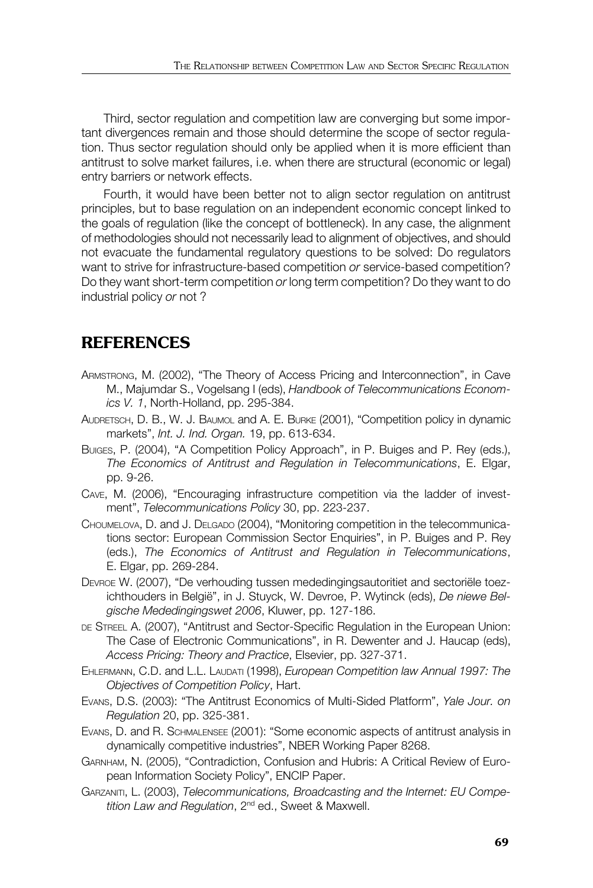Third, sector regulation and competition law are converging but some important divergences remain and those should determine the scope of sector regulation. Thus sector regulation should only be applied when it is more efficient than antitrust to solve market failures, i.e. when there are structural (economic or legal) entry barriers or network effects.

Fourth, it would have been better not to align sector regulation on antitrust principles, but to base regulation on an independent economic concept linked to the goals of regulation (like the concept of bottleneck). In any case, the alignment of methodologies should not necessarily lead to alignment of objectives, and should not evacuate the fundamental regulatory questions to be solved: Do regulators want to strive for infrastructure-based competition *or* service-based competition? Do they want short-term competition *or* long term competition? Do they want to do industrial policy *or* not ?

# **REFERENCES**

- ARMSTRONG, M. (2002), "The Theory of Access Pricing and Interconnection", in Cave M., Majumdar S., Vogelsang I (eds), *Handbook of Telecommunications Economics V. 1*, North-Holland, pp. 295-384.
- AUDRETSCH, D. B., W. J. BAUMOL and A. E. BURKE (2001), "Competition policy in dynamic markets", *Int. J. Ind. Organ.* 19, pp. 613-634.
- BUIGES, P. (2004), "A Competition Policy Approach", in P. Buiges and P. Rey (eds.), *The Economics of Antitrust and Regulation in Telecommunications*, E. Elgar, pp. 9-26.
- CAVE, M. (2006), "Encouraging infrastructure competition via the ladder of investment", *Telecommunications Policy* 30, pp. 223-237.
- CHOUMELOVA, D. and J. DELGADO (2004), "Monitoring competition in the telecommunications sector: European Commission Sector Enquiries", in P. Buiges and P. Rey (eds.), *The Economics of Antitrust and Regulation in Telecommunications*, E. Elgar, pp. 269-284.
- DEVROE W. (2007), "De verhouding tussen mededingingsautoritiet and sectoriële toezichthouders in België", in J. Stuyck, W. Devroe, P. Wytinck (eds), *De niewe Belgische Mededingingswet 2006*, Kluwer, pp. 127-186.
- DE STREEL A. (2007), "Antitrust and Sector-Specific Regulation in the European Union: The Case of Electronic Communications", in R. Dewenter and J. Haucap (eds), *Access Pricing: Theory and Practice*, Elsevier, pp. 327-371.
- EHLERMANN, C.D. and L.L. LAUDATI (1998), *European Competition law Annual 1997: The Objectives of Competition Policy*, Hart.
- EVANS, D.S. (2003): "The Antitrust Economics of Multi-Sided Platform", *Yale Jour. on Regulation* 20, pp. 325-381.
- EVANS, D. and R. SCHMALENSEE (2001): "Some economic aspects of antitrust analysis in dynamically competitive industries", NBER Working Paper 8268.
- GARNHAM, N. (2005), "Contradiction, Confusion and Hubris: A Critical Review of European Information Society Policy", ENCIP Paper.
- GARZANITI, L. (2003), *Telecommunications, Broadcasting and the Internet: EU Competition Law and Regulation*, 2nd ed., Sweet & Maxwell.